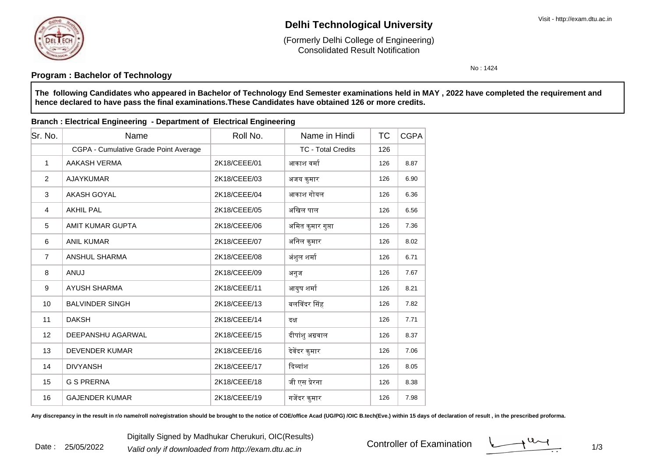

Date : 25/05/2022

# **Delhi Technological University**

Consolidated Result Notification(Formerly Delhi College of Engineering)

No : 1424

### **Program : Bachelor of Technology**

**The following Candidates who appeared in Bachelor of Technology End Semester examinations held in MAY , 2022 have completed the requirement andhence declared to have pass the final examinations.These Candidates have obtained 126 or more credits.**

#### **Branch : Electrical Engineering - Department of Electrical Engineering**

| Sr. No.        | Name                                  | Roll No.     | Name in Hindi             | ТC  | <b>CGPA</b> |
|----------------|---------------------------------------|--------------|---------------------------|-----|-------------|
|                | CGPA - Cumulative Grade Point Average |              | <b>TC - Total Credits</b> | 126 |             |
| 1              | AAKASH VERMA                          | 2K18/CEEE/01 | आकाश वर्मा                | 126 | 8.87        |
| 2              | <b>AJAYKUMAR</b>                      | 2K18/CEEE/03 | अजय कुमार                 | 126 | 6.90        |
| 3              | <b>AKASH GOYAL</b>                    | 2K18/CEEE/04 | आकाश गोयल                 | 126 | 6.36        |
| $\overline{4}$ | <b>AKHIL PAL</b>                      | 2K18/CEEE/05 | अखिल पाल                  | 126 | 6.56        |
| 5              | AMIT KUMAR GUPTA                      | 2K18/CEEE/06 | अमित कुमार गुप्ता         | 126 | 7.36        |
| 6              | <b>ANIL KUMAR</b>                     | 2K18/CEEE/07 | अनिल कुमार                | 126 | 8.02        |
| $\overline{7}$ | <b>ANSHUL SHARMA</b>                  | 2K18/CEEE/08 | अंशुल शर्मा               | 126 | 6.71        |
| 8              | <b>ANUJ</b>                           | 2K18/CEEE/09 | अनुज                      | 126 | 7.67        |
| 9              | <b>AYUSH SHARMA</b>                   | 2K18/CEEE/11 | आयुष शर्मा                | 126 | 8.21        |
| 10             | <b>BALVINDER SINGH</b>                | 2K18/CEEE/13 | बलविंदर सिंह              | 126 | 7.82        |
| 11             | <b>DAKSH</b>                          | 2K18/CEEE/14 | दक्ष                      | 126 | 7.71        |
| 12             | DEEPANSHU AGARWAL                     | 2K18/CEEE/15 | दीपांशु अग्रवाल           | 126 | 8.37        |
| 13             | <b>DEVENDER KUMAR</b>                 | 2K18/CEEE/16 | देवेंदर कुमार             | 126 | 7.06        |
| 14             | <b>DIVYANSH</b>                       | 2K18/CEEE/17 | दिव्यांश                  | 126 | 8.05        |
| 15             | <b>G S PRERNA</b>                     | 2K18/CEEE/18 | जी एस प्रेरना             | 126 | 8.38        |
| 16             | <b>GAJENDER KUMAR</b>                 | 2K18/CEEE/19 | गजेंदर कुमार              | 126 | 7.98        |

Any discrepancy in the result in r/o name/roll no/registration should be brought to the notice of COE/office Acad (UG/PG) /OIC B.tech(Eve.) within 15 days of declaration of result, in the prescribed proforma.

Controller of Examination

 $1/3$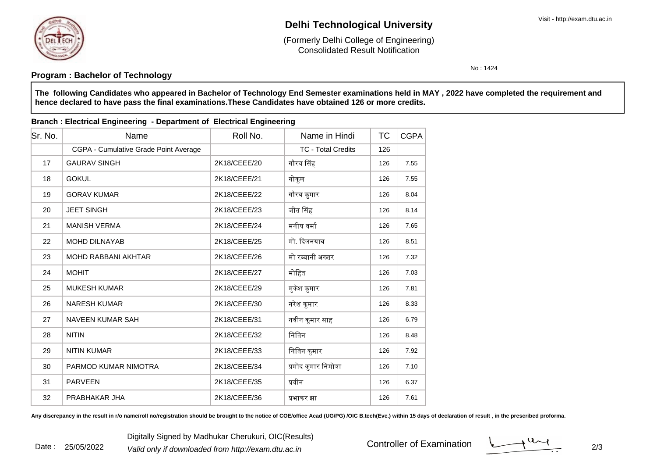

Date : 25/05/2022

# **Delhi Technological University**

Consolidated Result Notification(Formerly Delhi College of Engineering)

No : 1424

### **Program : Bachelor of Technology**

**The following Candidates who appeared in Bachelor of Technology End Semester examinations held in MAY , 2022 have completed the requirement andhence declared to have pass the final examinations.These Candidates have obtained 126 or more credits.**

#### **Branch : Electrical Engineering - Department of Electrical Engineering**

| Sr. No. | Name                                  | Roll No.     | Name in Hindi             | <b>TC</b> | <b>CGPA</b> |
|---------|---------------------------------------|--------------|---------------------------|-----------|-------------|
|         | CGPA - Cumulative Grade Point Average |              | <b>TC - Total Credits</b> | 126       |             |
| 17      | <b>GAURAV SINGH</b>                   | 2K18/CEEE/20 | गौरव सिंह                 | 126       | 7.55        |
| 18      | <b>GOKUL</b>                          | 2K18/CEEE/21 | गोकुल                     | 126       | 7.55        |
| 19      | <b>GORAV KUMAR</b>                    | 2K18/CEEE/22 | गौरव कुमार                | 126       | 8.04        |
| 20      | <b>JEET SINGH</b>                     | 2K18/CEEE/23 | जीत सिंह                  | 126       | 8.14        |
| 21      | <b>MANISH VERMA</b>                   | 2K18/CEEE/24 | मनीष वर्मा                | 126       | 7.65        |
| 22      | <b>MOHD DILNAYAB</b>                  | 2K18/CEEE/25 | मो. दिलनयाब               | 126       | 8.51        |
| 23      | <b>MOHD RABBANI AKHTAR</b>            | 2K18/CEEE/26 | मो रब्बानी अख्तर          | 126       | 7.32        |
| 24      | <b>MOHIT</b>                          | 2K18/CEEE/27 | मोहित                     | 126       | 7.03        |
| 25      | <b>MUKESH KUMAR</b>                   | 2K18/CEEE/29 | मुकेश कुमार               | 126       | 7.81        |
| 26      | <b>NARESH KUMAR</b>                   | 2K18/CEEE/30 | नरेश कुमार                | 126       | 8.33        |
| 27      | <b>NAVEEN KUMAR SAH</b>               | 2K18/CEEE/31 | नवीन कुमार साह            | 126       | 6.79        |
| 28      | <b>NITIN</b>                          | 2K18/CEEE/32 | नितिन                     | 126       | 8.48        |
| 29      | <b>NITIN KUMAR</b>                    | 2K18/CEEE/33 | नितिन कुमार               | 126       | 7.92        |
| 30      | PARMOD KUMAR NIMOTRA                  | 2K18/CEEE/34 | प्रमोद कुमार निमोत्रा     | 126       | 7.10        |
| 31      | <b>PARVEEN</b>                        | 2K18/CEEE/35 | प्रवीन                    | 126       | 6.37        |
| 32      | PRABHAKAR JHA                         | 2K18/CEEE/36 | प्रभाकर झा                | 126       | 7.61        |

Any discrepancy in the result in r/o name/roll no/registration should be brought to the notice of COE/office Acad (UG/PG) /OIC B.tech(Eve.) within 15 days of declaration of result, in the prescribed proforma.

Controller of Examination

 $\frac{1}{2}$  2/3